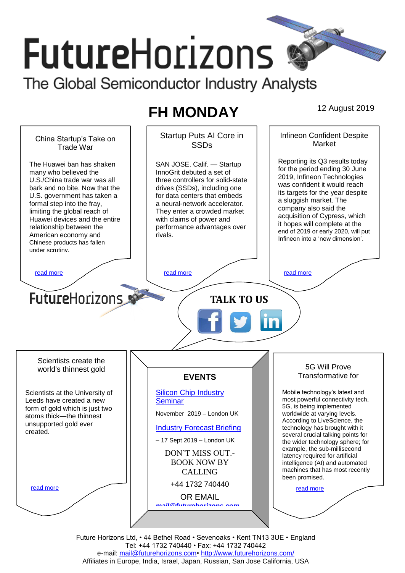# **FutureHorizons** The Global Semiconductor Industry Analysts

## **FH MONDAY** 12 August 2019



Future Horizons Ltd, • 44 Bethel Road • Sevenoaks • Kent TN13 3UE • England Tel: +44 1732 740440 • Fax: +44 1732 740442 e-mail: mail@futurehorizons.com• http://www.futurehorizons.com/ Affiliates in Europe, India, Israel, Japan, Russian, San Jose California, USA